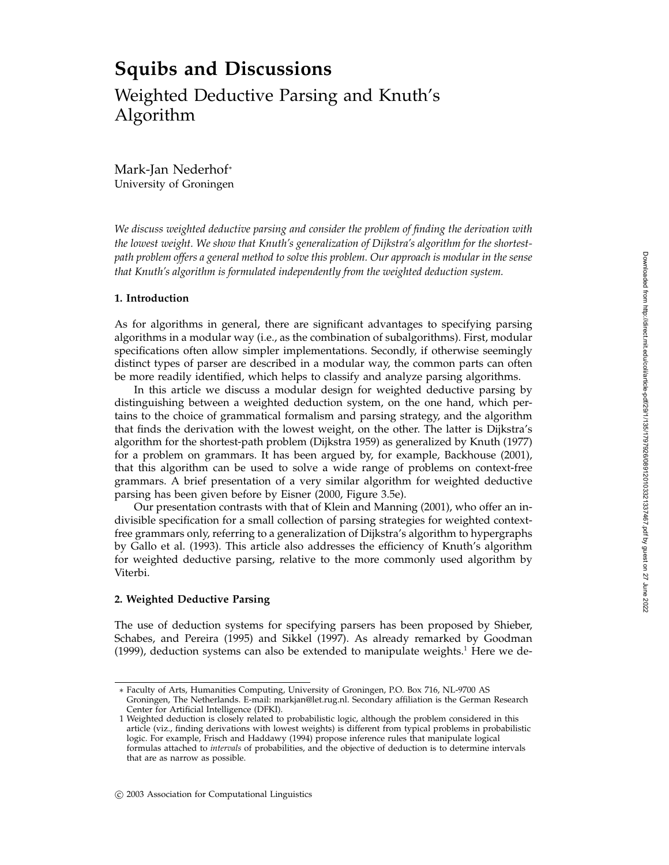# **Squibs and Discussions** Weighted Deductive Parsing and Knuth's Algorithm

Mark-Jan Nederhof<sup>∗</sup> University of Groningen

*We discuss weighted deductive parsing and consider the problem of finding the derivation with the lowest weight. We show that Knuth's generalization of Dijkstra's algorithm for the shortestpath problem offers a general method to solve this problem. Our approach is modular in the sense that Knuth's algorithm is formulated independently from the weighted deduction system.*

# **1. Introduction**

As for algorithms in general, there are significant advantages to specifying parsing algorithms in a modular way (i.e., as the combination of subalgorithms). First, modular specifications often allow simpler implementations. Secondly, if otherwise seemingly distinct types of parser are described in a modular way, the common parts can often be more readily identified, which helps to classify and analyze parsing algorithms.

In this article we discuss a modular design for weighted deductive parsing by distinguishing between a weighted deduction system, on the one hand, which pertains to the choice of grammatical formalism and parsing strategy, and the algorithm that finds the derivation with the lowest weight, on the other. The latter is Dijkstra's algorithm for the shortest-path problem (Dijkstra 1959) as generalized by Knuth (1977) for a problem on grammars. It has been argued by, for example, Backhouse (2001), that this algorithm can be used to solve a wide range of problems on context-free grammars. A brief presentation of a very similar algorithm for weighted deductive parsing has been given before by Eisner (2000, Figure 3.5e).

Our presentation contrasts with that of Klein and Manning (2001), who offer an indivisible specification for a small collection of parsing strategies for weighted contextfree grammars only, referring to a generalization of Dijkstra's algorithm to hypergraphs by Gallo et al. (1993). This article also addresses the efficiency of Knuth's algorithm for weighted deductive parsing, relative to the more commonly used algorithm by Viterbi.

# **2. Weighted Deductive Parsing**

The use of deduction systems for specifying parsers has been proposed by Shieber, Schabes, and Pereira (1995) and Sikkel (1997). As already remarked by Goodman (1999), deduction systems can also be extended to manipulate weights.<sup>1</sup> Here we de-

<sup>∗</sup> Faculty of Arts, Humanities Computing, University of Groningen, P.O. Box 716, NL-9700 AS Groningen, The Netherlands. E-mail: markjan@let.rug.nl. Secondary affiliation is the German Research Center for Artificial Intelligence (DFKI).

<sup>1</sup> Weighted deduction is closely related to probabilistic logic, although the problem considered in this article (viz., finding derivations with lowest weights) is different from typical problems in probabilistic logic. For example, Frisch and Haddawy (1994) propose inference rules that manipulate logical formulas attached to *intervals* of probabilities, and the objective of deduction is to determine intervals that are as narrow as possible.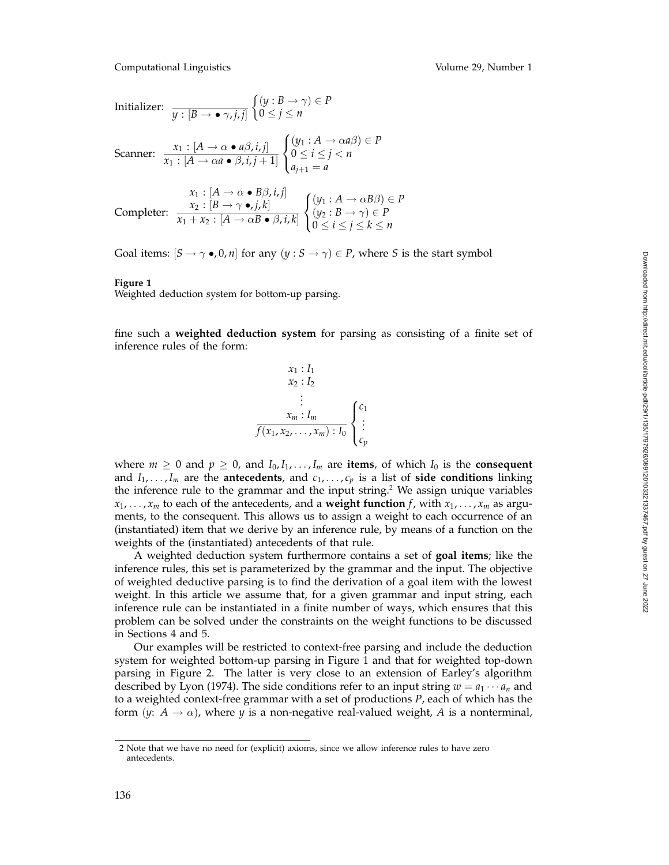Computational Linguistics Volume 29, Number 1

Initializer:

\n
$$
\frac{1}{y : [B \to \bullet \gamma, j, j]} \begin{cases}\n(y : B \to \gamma) \in P \\
0 \leq j \leq n\n\end{cases}
$$
\nScanner:

\n
$$
\frac{x_1 : [A \to \alpha \bullet a\beta, i, j]}{x_1 : [A \to \alpha a \bullet \beta, i, j + 1]} \begin{cases}\n(y_1 : A \to \alpha a\beta) \in P \\
0 \leq i \leq j < n\n\end{cases}
$$
\n
$$
x_1 : [A \to \alpha \bullet B\beta, i, j] \quad f(y_1 : A \to \alpha B\beta)
$$

$$
\text{Complete:} \quad \frac{x_1 \cdot [A \rightarrow \alpha \bullet B \beta, i, j]}{x_1 + x_2 \cdot [A \rightarrow \alpha B \bullet \beta, i, k]} \begin{cases} (y_1 : A \rightarrow \alpha B \beta) \in P \\ (y_2 : B \rightarrow \gamma) \in P \\ 0 \le i \le j \le k \le n \end{cases}
$$

Goal items:  $[S \to \gamma \bullet, 0, n]$  for any  $(y : S \to \gamma) \in P$ , where S is the start symbol

# **Figure 1**

Weighted deduction system for bottom-up parsing.

fine such a **weighted deduction system** for parsing as consisting of a finite set of inference rules of the form:

$$
x_1 : I_1
$$
  
\n
$$
x_2 : I_2
$$
  
\n
$$
\vdots
$$
  
\n
$$
x_m : I_m
$$
  
\n
$$
f(x_1, x_2, \dots, x_m) : I_0
$$
  
\n
$$
\begin{cases} c_1 \\ \vdots \\ c_p \end{cases}
$$

where  $m \geq 0$  and  $p \geq 0$ , and  $I_0, I_1, \ldots, I_m$  are **items**, of which  $I_0$  is the **consequent** and  $I_1, \ldots, I_m$  are the **antecedents**, and  $c_1, \ldots, c_p$  is a list of **side conditions** linking the inference rule to the grammar and the input string. <sup>2</sup> We assign unique variables  $x_1, \ldots, x_m$  to each of the antecedents, and a **weight function** *f*, with  $x_1, \ldots, x_m$  as arguments, to the consequent. This allows us to assign a weight to each occurrence of an (instantiated) item that we derive by an inference rule, by means of a function on the weights of the (instantiated) antecedents of that rule.

A weighted deduction system furthermore contains a set of **goal items**; like the inference rules, this set is parameterized by the grammar and the input. The objective of weighted deductive parsing is to find the derivation of a goal item with the lowest weight. In this article we assume that, for a given grammar and input string, each inference rule can be instantiated in a finite number of ways, which ensures that this problem can be solved under the constraints on the weight functions to be discussed in Sections 4 and 5.

Our examples will be restricted to context-free parsing and include the deduction system for weighted bottom-up parsing in Figure 1 and that for weighted top-down parsing in Figure 2. The latter is very close to an extension of Earley's algorithm described by Lyon (1974). The side conditions refer to an input string  $w = a_1 \cdots a_n$  and to a weighted context-free grammar with a set of productions *P*, each of which has the form (*y*:  $A \rightarrow \alpha$ ), where *y* is a non-negative real-valued weight, A is a nonterminal,

<sup>2</sup> Note that we have no need for (explicit) axioms, since we allow inference rules to have zero antecedents.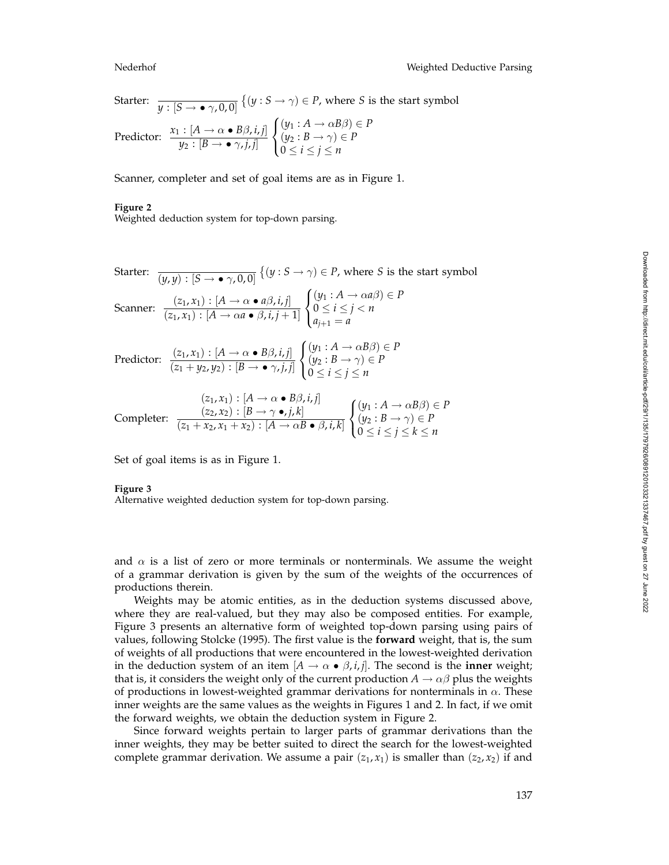Starter:  $\frac{1}{y : [S \rightarrow \bullet \gamma, 0, 0]}$   $\{(y : S \rightarrow \gamma) \in P$ , where S is the start symbol Predictor:  $\frac{x_1 : [A \rightarrow \alpha \bullet B\beta, i, j]}{x_1 : [B \rightarrow \alpha \rightarrow i, j]}$  $y_2 : [A \rightarrow \alpha \bullet B\beta, i, j]$ <br>  $y_2 : [B \rightarrow \bullet \gamma, j, j]$ <br>  $y_3 : [B \rightarrow \bullet \gamma, j, j]$ <br>  $y_2 : [C \rightarrow \bullet \gamma, j, j]$ <br>  $y_3 : [C \rightarrow \bullet \gamma, j, j]$ <br>  $y_2 : [C \rightarrow \bullet \gamma, j, j]$  $(y_2 : B \to \gamma) \in P$ 0  $\leq i \leq j \leq n$ 

Scanner, completer and set of goal items are as in Figure 1.

#### **Figure 2**

Weighted deduction system for top-down parsing.

Starter:  $\frac{1}{(y,y):[S \to \bullet \gamma, 0, 0]}$   $\{(y: S \to \gamma) \in P$ , where *S* is the start symbol

$$
\text{Scanner:} \quad \frac{(z_1, x_1) : [A \to \alpha \bullet a\beta, i, j]}{(z_1, x_1) : [A \to \alpha a \bullet \beta, i, j+1]} \begin{cases} (y_1 : A \to \alpha a\beta) \in P \\ 0 \le i \le j < n \\ a_{j+1} = a \end{cases}
$$

$$
\text{Predictor: } \frac{(z_1, x_1) : [A \to \alpha \bullet B\beta, i, j]}{(z_1 + y_2, y_2) : [B \to \bullet \gamma, j, j]} \begin{cases} (y_1 : A \to \alpha B\beta) \in P \\ (y_2 : B \to \gamma) \in P \\ 0 \le i \le j \le n \end{cases}
$$

$$
\text{Complete:} \quad \frac{(z_1, x_1) : [A \to \alpha \bullet B\beta, i, j]}{(z_2, x_2) : [B \to \gamma \bullet, j, k]} \quad \begin{cases} (y_1 : A \to \alpha B\beta) \in P \\ (y_2 : B \to \gamma) \in P \\ 0 \le i \le j \le k \le n \end{cases}
$$

Set of goal items is as in Figure 1.

#### **Figure 3**

Alternative weighted deduction system for top-down parsing.

and  $\alpha$  is a list of zero or more terminals or nonterminals. We assume the weight of a grammar derivation is given by the sum of the weights of the occurrences of productions therein.

Weights may be atomic entities, as in the deduction systems discussed above, where they are real-valued, but they may also be composed entities. For example, Figure 3 presents an alternative form of weighted top-down parsing using pairs of values, following Stolcke (1995). The first value is the **forward** weight, that is, the sum of weights of all productions that were encountered in the lowest-weighted derivation in the deduction system of an item  $[A \rightarrow \alpha \bullet \beta, i, j]$ . The second is the **inner** weight; that is, it considers the weight only of the current production  $A \to \alpha \beta$  plus the weights of productions in lowest-weighted grammar derivations for nonterminals in  $\alpha$ . These inner weights are the same values as the weights in Figures 1 and 2. In fact, if we omit the forward weights, we obtain the deduction system in Figure 2.

Since forward weights pertain to larger parts of grammar derivations than the inner weights, they may be better suited to direct the search for the lowest-weighted complete grammar derivation. We assume a pair  $(z_1, x_1)$  is smaller than  $(z_2, x_2)$  if and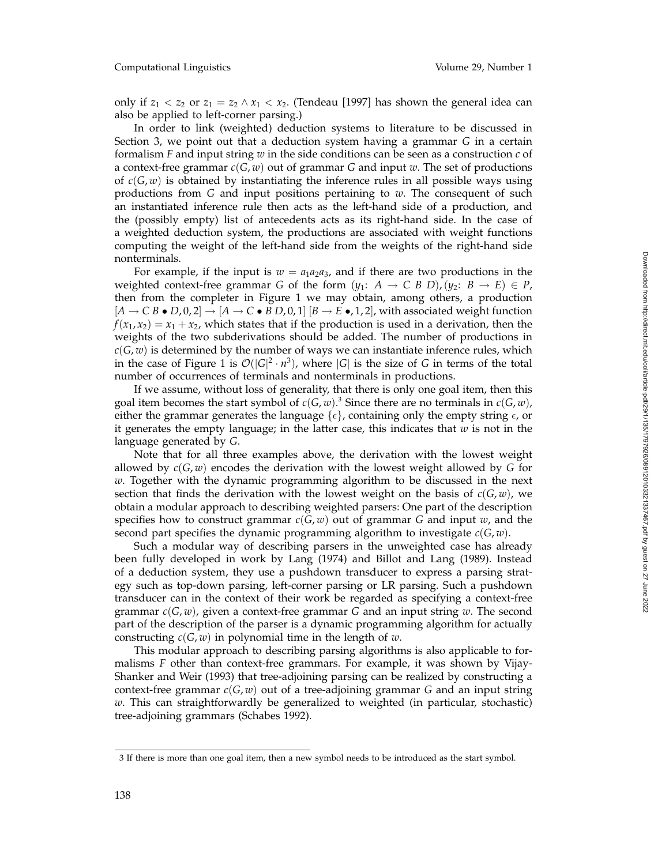only if  $z_1 < z_2$  or  $z_1 = z_2 \wedge x_1 < x_2$ . (Tendeau [1997] has shown the general idea can also be applied to left-corner parsing.)

In order to link (weighted) deduction systems to literature to be discussed in Section 3, we point out that a deduction system having a grammar *G* in a certain formalism *F* and input string *w* in the side conditions can be seen as a construction *c* of a context-free grammar  $c(G, w)$  out of grammar G and input w. The set of productions of  $c(G, w)$  is obtained by instantiating the inference rules in all possible ways using productions from *G* and input positions pertaining to *w*. The consequent of such an instantiated inference rule then acts as the left-hand side of a production, and the (possibly empty) list of antecedents acts as its right-hand side. In the case of a weighted deduction system, the productions are associated with weight functions computing the weight of the left-hand side from the weights of the right-hand side nonterminals.

For example, if the input is  $w = a_1 a_2 a_3$ , and if there are two productions in the weighted context-free grammar G of the form  $(y_1: A \rightarrow C \ B \ D)$ ,  $(y_2: B \rightarrow E) \in P$ , then from the completer in Figure 1 we may obtain, among others, a production  $[A \rightarrow C B \bullet D, 0, 2] \rightarrow [A \rightarrow C \bullet B D, 0, 1] [B \rightarrow E \bullet, 1, 2]$ , with associated weight function  $f(x_1, x_2) = x_1 + x_2$ , which states that if the production is used in a derivation, then the weights of the two subderivations should be added. The number of productions in  $c(G, w)$  is determined by the number of ways we can instantiate inference rules, which in the case of Figure 1 is  $\mathcal{O}(|G|^2 \cdot n^3)$ , where  $|G|$  is the size of G in terms of the total number of occurrences of terminals and nonterminals in productions.

If we assume, without loss of generality, that there is only one goal item, then this goal item becomes the start symbol of  $c(G, w)$ .<sup>3</sup> Since there are no terminals in  $c(G, w)$ , either the grammar generates the language  $\{\epsilon\}$ , containing only the empty string  $\epsilon$ , or it generates the empty language; in the latter case, this indicates that *w* is not in the language generated by *G* .

Note that for all three examples above, the derivation with the lowest weight allowed by  $c(G, w)$  encodes the derivation with the lowest weight allowed by G for *w*. Together with the dynamic programming algorithm to be discussed in the next section that finds the derivation with the lowest weight on the basis of  $c(G, w)$ , we obtain a modular approach to describing weighted parsers: One part of the description specifies how to construct grammar  $c(G, w)$  out of grammar G and input w, and the second part specifies the dynamic programming algorithm to investigate  $c(G, w)$ .

Such a modular way of describing parsers in the unweighted case has already been fully developed in work by Lang (1974) and Billot and Lang (1989). Instead of a deduction system, they use a pushdown transducer to express a parsing strategy such as top-down parsing, left-corner parsing or LR parsing. Such a pushdown transducer can in the context of their work be regarded as specifying a context-free grammar *c* ( *G* , *w* ), given a context-free grammar *G* and an input string *w*. The second part of the description of the parser is a dynamic programming algorithm for actually constructing  $c(G, w)$  in polynomial time in the length of  $w$ .

This modular approach to describing parsing algorithms is also applicable to formalisms *F* other than context-free grammars. For example, it was shown by Vijay-Shanker and Weir (1993) that tree-adjoining parsing can be realized by constructing a context-free grammar  $c(G, w)$  out of a tree-adjoining grammar G and an input string *w*. This can straightforwardly be generalized to weighted (in particular, stochastic) tree-adjoining grammars (Schabes 1992).

<sup>3</sup> If there is more than one goal item, then a new symbol needs to be introduced as the start symbol.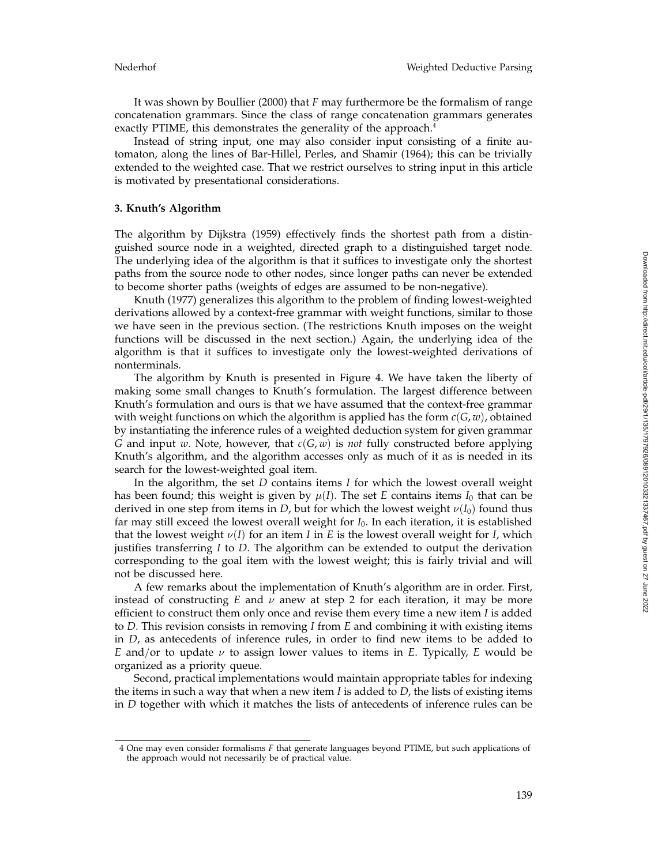It was shown by Boullier (2000) that *F* may furthermore be the formalism of range concatenation grammars. Since the class of range concatenation grammars generates exactly PTIME, this demonstrates the generality of the approach.<sup>4</sup>

Instead of string input, one may also consider input consisting of a finite automaton, along the lines of Bar-Hillel, Perles, and Shamir (1964); this can be trivially extended to the weighted case. That we restrict ourselves to string input in this article is motivated by presentational considerations.

# **3. Knuth's Algorithm**

The algorithm by Dijkstra (1959) effectively finds the shortest path from a distinguished source node in a weighted, directed graph to a distinguished target node. The underlying idea of the algorithm is that it suffices to investigate only the shortest paths from the source node to other nodes, since longer paths can never be extended to become shorter paths (weights of edges are assumed to be non-negative).

Knuth (1977) generalizes this algorithm to the problem of finding lowest-weighted derivations allowed by a context-free grammar with weight functions, similar to those we have seen in the previous section. (The restrictions Knuth imposes on the weight functions will be discussed in the next section.) Again, the underlying idea of the algorithm is that it suffices to investigate only the lowest-weighted derivations of nonterminals.

The algorithm by Knuth is presented in Figure 4. We have taken the liberty of making some small changes to Knuth's formulation. The largest difference between Knuth's formulation and ours is that we have assumed that the context-free grammar with weight functions on which the algorithm is applied has the form  $c(G, w)$ , obtained by instantiating the inference rules of a weighted deduction system for given grammar *G* and input *w*. Note, however, that *c*(*G*, *w*) is *not* fully constructed before applying Knuth's algorithm, and the algorithm accesses only as much of it as is needed in its search for the lowest-weighted goal item.

In the algorithm, the set *D* contains items *I* for which the lowest overall weight has been found; this weight is given by  $\mu(I)$ . The set E contains items  $I_0$  that can be derived in one step from items in  $D$ , but for which the lowest weight  $\nu(I_0)$  found thus far may still exceed the lowest overall weight for *I*0. In each iteration, it is established that the lowest weight  $\nu(I)$  for an item *I* in *E* is the lowest overall weight for *I*, which justifies transferring *I* to *D*. The algorithm can be extended to output the derivation corresponding to the goal item with the lowest weight; this is fairly trivial and will not be discussed here.

A few remarks about the implementation of Knuth's algorithm are in order. First, instead of constructing  $E$  and  $\nu$  anew at step 2 for each iteration, it may be more efficient to construct them only once and revise them every time a new item *I* is added to *D*. This revision consists in removing *I* from *E* and combining it with existing items in *D*, as antecedents of inference rules, in order to find new items to be added to *E* and/or to update  $\nu$  to assign lower values to items in *E*. Typically, *E* would be organized as a priority queue.

Second, practical implementations would maintain appropriate tables for indexing the items in such a way that when a new item *I* is added to *D*, the lists of existing items in *D* together with which it matches the lists of antecedents of inference rules can be

<sup>4</sup> One may even consider formalisms *F* that generate languages beyond PTIME, but such applications of the approach would not necessarily be of practical value.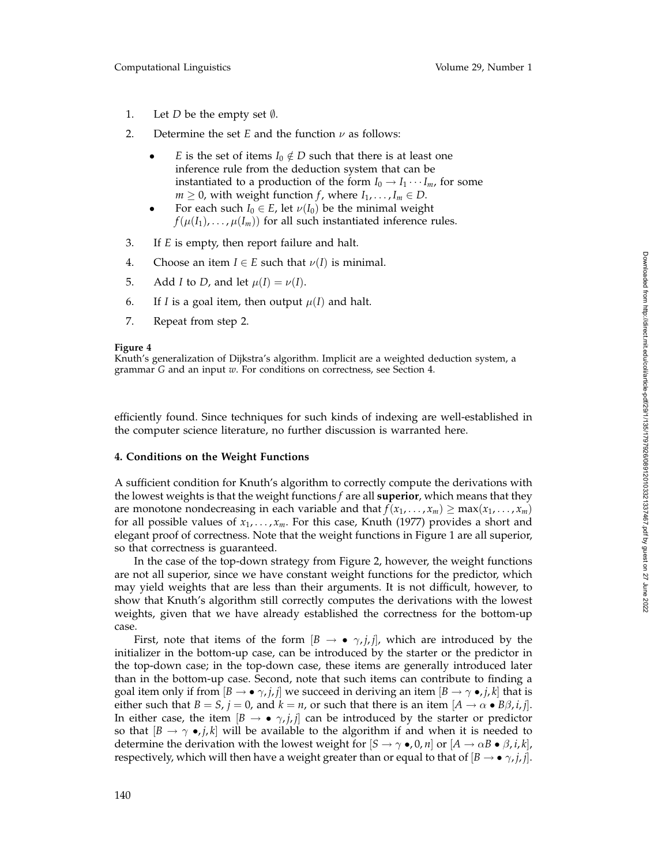- 1. Let *D* be the empty set  $\emptyset$ .
- 2. Determine the set  $E$  and the function  $\nu$  as follows:
	- *E* is the set of items  $I_0 \notin D$  such that there is at least one inference rule from the deduction system that can be instantiated to a production of the form  $I_0 \rightarrow I_1 \cdots I_m$ , for some  $m \geq 0$ , with weight function  $f$ , where  $I_1, \ldots, I_m \in D$ .
	- For each such  $I_0 \in E$ , let  $\nu(I_0)$  be the minimal weight  $f(\mu(I_1), \ldots, \mu(I_m))$  for all such instantiated inference rules.
- 3. If *E* is empty, then report failure and halt.
- 4. Choose an item  $I \in E$  such that  $\nu(I)$  is minimal.
- 5. Add *I* to *D*, and let  $\mu(I) = \nu(I)$ .
- 6. If *I* is a goal item, then output  $\mu(I)$  and halt.
- 7. Repeat from step 2.

#### **Figure 4**

Knuth's generalization of Dijkstra's algorithm. Implicit are a weighted deduction system, a grammar *G* and an input *w*. For conditions on correctness, see Section 4.

efficiently found. Since techniques for such kinds of indexing are well-established in the computer science literature, no further discussion is warranted here.

# **4. Conditions on the Weight Functions**

A sufficient condition for Knuth's algorithm to correctly compute the derivations with the lowest weights is that the weight functions *f* are all **superior**, which means that they are monotone nondecreasing in each variable and that  $f(x_1, \ldots, x_m) \ge \max(x_1, \ldots, x_m)$ for all possible values of  $x_1, \ldots, x_m$ . For this case, Knuth (1977) provides a short and elegant proof of correctness. Note that the weight functions in Figure 1 are all superior, so that correctness is guaranteed.

In the case of the top-down strategy from Figure 2, however, the weight functions are not all superior, since we have constant weight functions for the predictor, which may yield weights that are less than their arguments. It is not difficult, however, to show that Knuth's algorithm still correctly computes the derivations with the lowest weights, given that we have already established the correctness for the bottom-up case.

First, note that items of the form  $[B\,\rightarrow\,\bullet\, \gamma_{\cdot}j_{\cdot}j]$ , which are introduced by the initializer in the bottom-up case, can be introduced by the starter or the predictor in the top-down case; in the top-down case, these items are generally introduced later than in the bottom-up case. Second, note that such items can contribute to finding a goal item only if from  $[B \to \bullet \gamma, j, j]$  we succeed in deriving an item  $[B \to \gamma \bullet, j, k]$  that is either such that  $B = S$ ,  $j = 0$ , and  $k = n$ , or such that there is an item  $[A \rightarrow \alpha \bullet B\beta, i, j]$ . In either case, the item  $[B \to \bullet \gamma, j, j]$  can be introduced by the starter or predictor so that  $[B \to \gamma \bullet, j, k]$  will be available to the algorithm if and when it is needed to determine the derivation with the lowest weight for  $[S \to \gamma \bullet, 0, n]$  or  $[A \to \alpha B \bullet \beta, i, k]$ , respectively, which will then have a weight greater than or equal to that of  $[B\to\bullet\,\gamma, j, j].$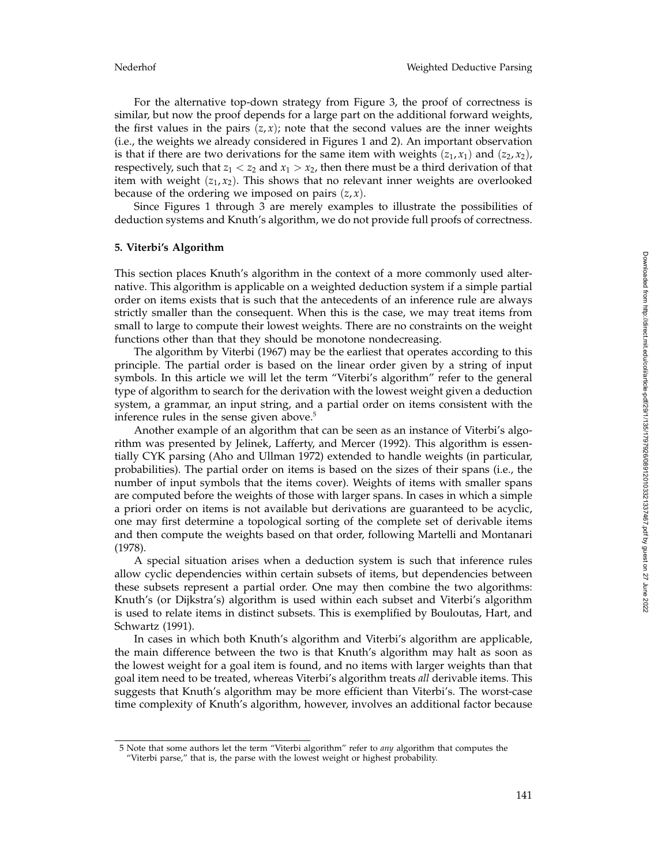For the alternative top-down strategy from Figure 3, the proof of correctness is similar, but now the proof depends for a large part on the additional forward weights, the first values in the pairs  $(z, x)$ ; note that the second values are the inner weights (i.e., the weights we already considered in Figures 1 and 2). An important observation is that if there are two derivations for the same item with weights  $(z_1, x_1)$  and  $(z_2, x_2)$ , respectively, such that  $z_1 < z_2$  and  $x_1 > x_2$ , then there must be a third derivation of that item with weight ( $z_1, x_2$ ). This shows that no relevant inner weights are overlooked because of the ordering we imposed on pairs  $(z, x)$ .

Since Figures 1 through 3 are merely examples to illustrate the possibilities of deduction systems and Knuth's algorithm, we do not provide full proofs of correctness.

# **5. Viterbi's Algorithm**

This section places Knuth's algorithm in the context of a more commonly used alternative. This algorithm is applicable on a weighted deduction system if a simple partial order on items exists that is such that the antecedents of an inference rule are always strictly smaller than the consequent. When this is the case, we may treat items from small to large to compute their lowest weights. There are no constraints on the weight functions other than that they should be monotone nondecreasing.

The algorithm by Viterbi (1967) may be the earliest that operates according to this principle. The partial order is based on the linear order given by a string of input symbols. In this article we will let the term "Viterbi's algorithm" refer to the general type of algorithm to search for the derivation with the lowest weight given a deduction system, a grammar, an input string, and a partial order on items consistent with the inference rules in the sense given above. 5

Another example of an algorithm that can be seen as an instance of Viterbi's algorithm was presented by Jelinek, Lafferty, and Mercer (1992). This algorithm is essentially CYK parsing (Aho and Ullman 1972) extended to handle weights (in particular, probabilities). The partial order on items is based on the sizes of their spans (i.e., the number of input symbols that the items cover). Weights of items with smaller spans are computed before the weights of those with larger spans. In cases in which a simple a priori order on items is not available but derivations are guaranteed to be acyclic, one may first determine a topological sorting of the complete set of derivable items and then compute the weights based on that order, following Martelli and Montanari (1978).

A special situation arises when a deduction system is such that inference rules allow cyclic dependencies within certain subsets of items, but dependencies between these subsets represent a partial order. One may then combine the two algorithms: Knuth's (or Dijkstra's) algorithm is used within each subset and Viterbi's algorithm is used to relate items in distinct subsets. This is exemplified by Bouloutas, Hart, and Schwartz (1991).

In cases in which both Knuth's algorithm and Viterbi's algorithm are applicable, the main difference between the two is that Knuth's algorithm may halt as soon as the lowest weight for a goal item is found, and no items with larger weights than that goal item need to be treated, whereas Viterbi's algorithm treats *all* derivable items. This suggests that Knuth's algorithm may be more efficient than Viterbi's. The worst-case time complexity of Knuth's algorithm, however, involves an additional factor because

<sup>5</sup> Note that some authors let the term "Viterbi algorithm" refer to *any* algorithm that computes the "Viterbi parse," that is, the parse with the lowest weight or highest probability.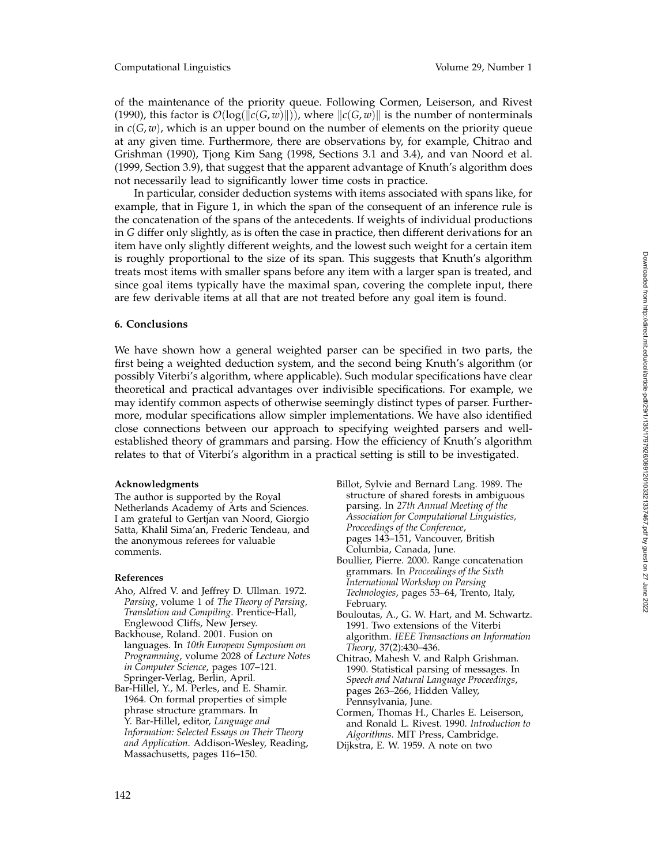of the maintenance of the priority queue. Following Cormen, Leiserson, and Rivest (1990), this factor is  $\mathcal{O}(\log(\Vert c(G,w) \Vert))$ , where  $\Vert c(G,w) \Vert$  is the number of nonterminals in  $c(G, w)$ , which is an upper bound on the number of elements on the priority queue at any given time. Furthermore, there are observations by, for example, Chitrao and Grishman (1990), Tjong Kim Sang (1998, Sections 3.1 and 3.4), and van Noord et al. (1999, Section 3.9), that suggest that the apparent advantage of Knuth's algorithm does not necessarily lead to significantly lower time costs in practice.

In particular, consider deduction systems with items associated with spans like, for example, that in Figure 1, in which the span of the consequent of an inference rule is the concatenation of the spans of the antecedents. If weights of individual productions in *G* differ only slightly, as is often the case in practice, then different derivations for an item have only slightly different weights, and the lowest such weight for a certain item is roughly proportional to the size of its span. This suggests that Knuth's algorithm treats most items with smaller spans before any item with a larger span is treated, and since goal items typically have the maximal span, covering the complete input, there are few derivable items at all that are not treated before any goal item is found.

# **6. Conclusions**

We have shown how a general weighted parser can be specified in two parts, the first being a weighted deduction system, and the second being Knuth's algorithm (or possibly Viterbi's algorithm, where applicable). Such modular specifications have clear theoretical and practical advantages over indivisible specifications. For example, we may identify common aspects of otherwise seemingly distinct types of parser. Furthermore, modular specifications allow simpler implementations. We have also identified close connections between our approach to specifying weighted parsers and wellestablished theory of grammars and parsing. How the efficiency of Knuth's algorithm relates to that of Viterbi's algorithm in a practical setting is still to be investigated.

#### **Acknowledgments**

The author is supported by the Royal Netherlands Academy of Arts and Sciences. I am grateful to Gertjan van Noord, Giorgio Satta, Khalil Sima'an, Frederic Tendeau, and the anonymous referees for valuable comments.

#### **References**

- Aho, Alfred V. and Jeffrey D. Ullman. 1972. *Parsing*, volume 1 of *The Theory of Parsing, Translation and Compiling*. Prentice-Hall, Englewood Cliffs, New Jersey.
- Backhouse, Roland. 2001. Fusion on languages. In *10th European Symposium on Programming*, volume 2028 of *Lecture Notes in Computer Science*, pages 107–121. Springer-Verlag, Berlin, April.
- Bar-Hillel, Y., M. Perles, and E. Shamir. 1964. On formal properties of simple phrase structure grammars. In Y. Bar-Hillel, editor, *Language and Information: Selected Essays on Their Theory and Application*. Addison-Wesley, Reading, Massachusetts, pages 116–150.
- Billot, Sylvie and Bernard Lang. 1989. The structure of shared forests in ambiguous parsing. In *27th Annual Meeting of the Association for Computational Linguistics, Proceedings of the Conference* , pages 143–151, Vancouver, British Columbia, Canada, June.
- Boullier, Pierre. 2000. Range concatenation grammars. In *Proceedings of the Sixth International Workshop on Parsing Technologies*, pages 53–64, Trento, Italy, February.
- Bouloutas, A., G. W. Hart, and M. Schwartz. 1991. Two extensions of the Viterbi algorithm. *IEEE Transactions on Information Theory*, 37(2):430–436.
- Chitrao, Mahesh V. and Ralph Grishman. 1990. Statistical parsing of messages. In *Speech and Natural Language Proceedings* , pages 263–266, Hidden Valley, Pennsylvania, June.
- Cormen, Thomas H., Charles E. Leiserson, and Ronald L. Rivest. 1990. *Introduction to Algorithms*. MIT Press, Cambridge.
- Dijkstra, E. W. 1959. A note on two